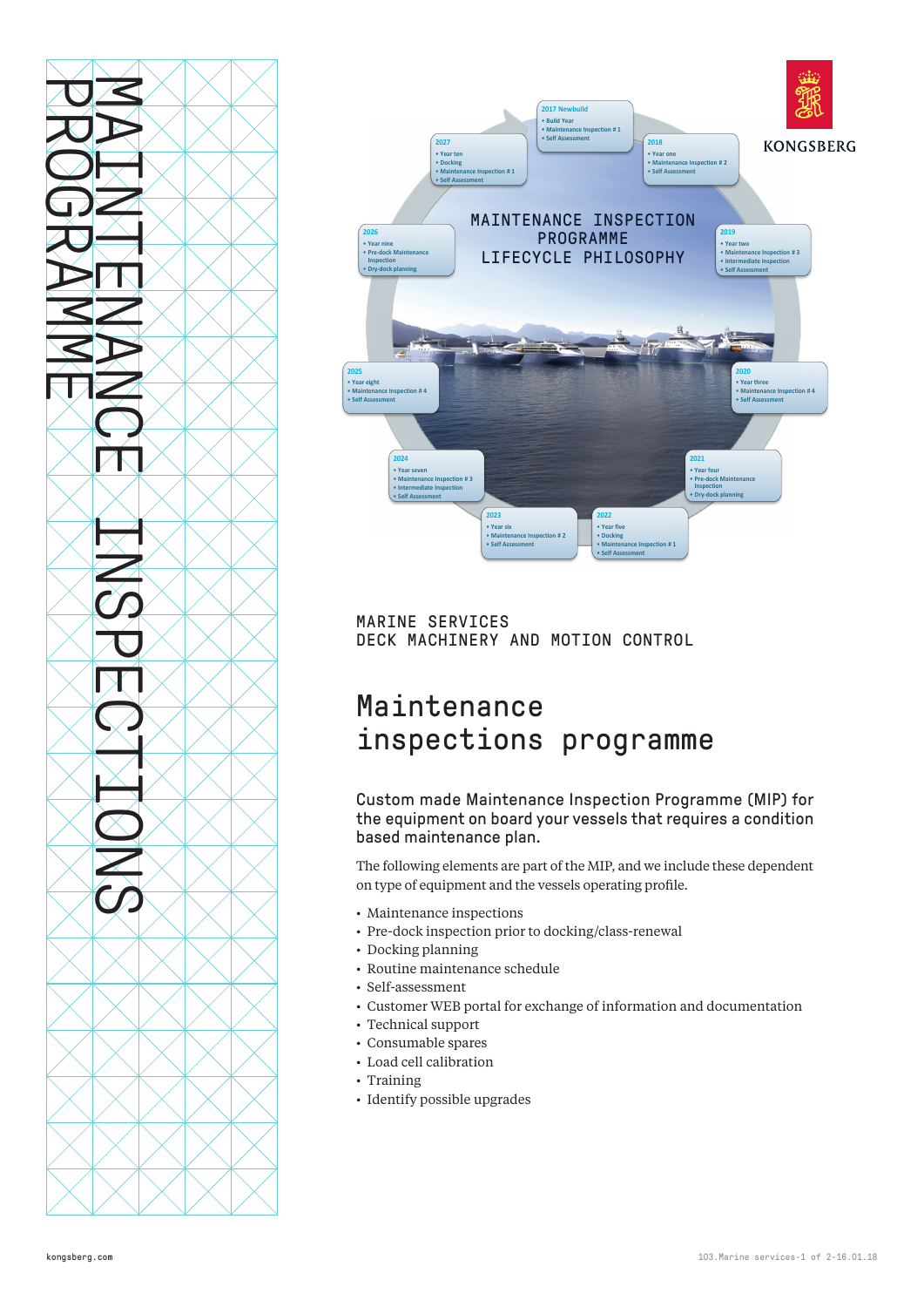



MARINE SERVICES DECK MACHINERY AND MOTION CONTROL

# Maintenance inspections programme

Custom made Maintenance Inspection Programme (MIP) for the equipment on board your vessels that requires a condition based maintenance plan.

The following elements are part of the MIP, and we include these dependent on type of equipment and the vessels operating profile.

- Maintenance inspections
- Pre-dock inspection prior to docking/class-renewal
- Docking planning
- Routine maintenance schedule
- Self-assessment
- Customer WEB portal for exchange of information and documentation
- Technical support
- Consumable spares
- Load cell calibration
- Training
- Identify possible upgrades